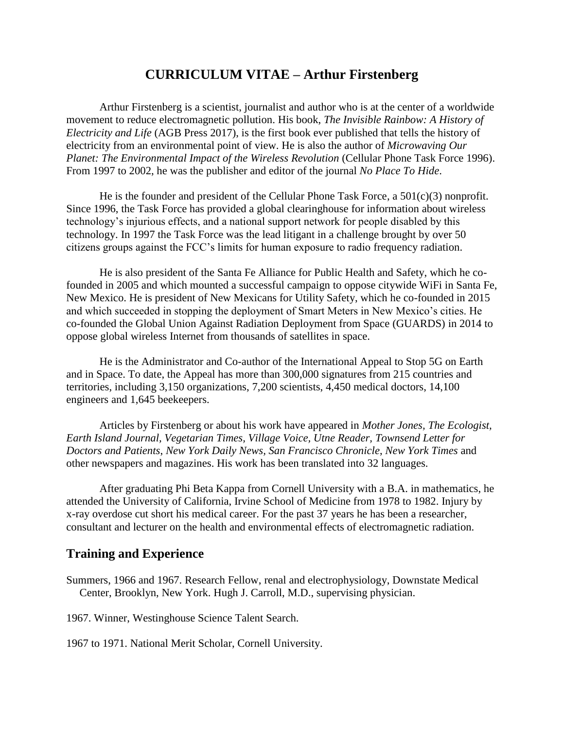# **CURRICULUM VITAE – Arthur Firstenberg**

Arthur Firstenberg is a scientist, journalist and author who is at the center of a worldwide movement to reduce electromagnetic pollution. His book, *The Invisible Rainbow: A History of Electricity and Life* (AGB Press 2017), is the first book ever published that tells the history of electricity from an environmental point of view. He is also the author of *Microwaving Our Planet: The Environmental Impact of the Wireless Revolution* (Cellular Phone Task Force 1996). From 1997 to 2002, he was the publisher and editor of the journal *No Place To Hide*.

He is the founder and president of the Cellular Phone Task Force, a  $501(c)(3)$  nonprofit. Since 1996, the Task Force has provided a global clearinghouse for information about wireless technology's injurious effects, and a national support network for people disabled by this technology. In 1997 the Task Force was the lead litigant in a challenge brought by over 50 citizens groups against the FCC's limits for human exposure to radio frequency radiation.

He is also president of the Santa Fe Alliance for Public Health and Safety, which he cofounded in 2005 and which mounted a successful campaign to oppose citywide WiFi in Santa Fe, New Mexico. He is president of New Mexicans for Utility Safety, which he co-founded in 2015 and which succeeded in stopping the deployment of Smart Meters in New Mexico's cities. He co-founded the Global Union Against Radiation Deployment from Space (GUARDS) in 2014 to oppose global wireless Internet from thousands of satellites in space.

He is the Administrator and Co-author of the International Appeal to Stop 5G on Earth and in Space. To date, the Appeal has more than 300,000 signatures from 215 countries and territories, including 3,150 organizations, 7,200 scientists, 4,450 medical doctors, 14,100 engineers and 1,645 beekeepers.

Articles by Firstenberg or about his work have appeared in *Mother Jones, The Ecologist, Earth Island Journal, Vegetarian Times, Village Voice, Utne Reader, Townsend Letter for Doctors and Patients*, *New York Daily News, San Francisco Chronicle*, *New York Times* and other newspapers and magazines. His work has been translated into 32 languages.

After graduating Phi Beta Kappa from Cornell University with a B.A. in mathematics, he attended the University of California, Irvine School of Medicine from 1978 to 1982. Injury by x-ray overdose cut short his medical career. For the past 37 years he has been a researcher, consultant and lecturer on the health and environmental effects of electromagnetic radiation.

### **Training and Experience**

Summers, 1966 and 1967. Research Fellow, renal and electrophysiology, Downstate Medical Center, Brooklyn, New York. Hugh J. Carroll, M.D., supervising physician.

1967. Winner, Westinghouse Science Talent Search.

1967 to 1971. National Merit Scholar, Cornell University.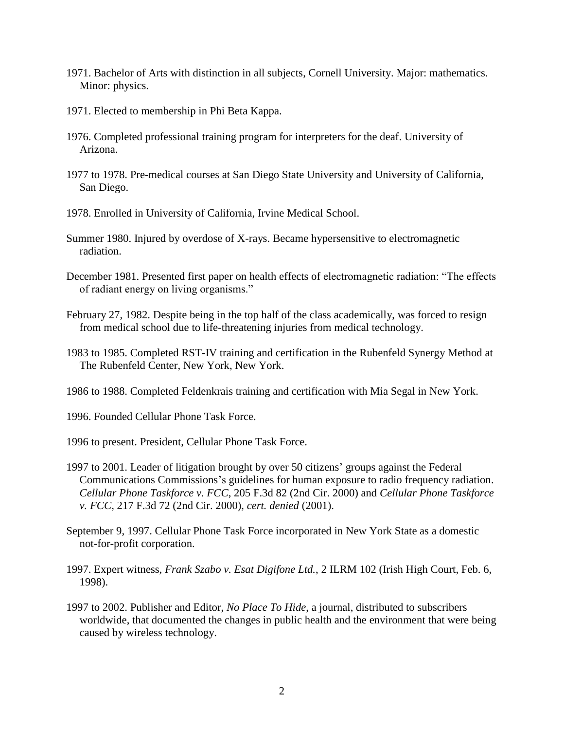- 1971. Bachelor of Arts with distinction in all subjects, Cornell University. Major: mathematics. Minor: physics.
- 1971. Elected to membership in Phi Beta Kappa.
- 1976. Completed professional training program for interpreters for the deaf. University of Arizona.
- 1977 to 1978. Pre-medical courses at San Diego State University and University of California, San Diego.
- 1978. Enrolled in University of California, Irvine Medical School.
- Summer 1980. Injured by overdose of X-rays. Became hypersensitive to electromagnetic radiation.
- December 1981. Presented first paper on health effects of electromagnetic radiation: "The effects of radiant energy on living organisms."
- February 27, 1982. Despite being in the top half of the class academically, was forced to resign from medical school due to life-threatening injuries from medical technology.
- 1983 to 1985. Completed RST-IV training and certification in the Rubenfeld Synergy Method at The Rubenfeld Center, New York, New York.
- 1986 to 1988. Completed Feldenkrais training and certification with Mia Segal in New York.
- 1996. Founded Cellular Phone Task Force.
- 1996 to present. President, Cellular Phone Task Force.
- 1997 to 2001. Leader of litigation brought by over 50 citizens' groups against the Federal Communications Commissions's guidelines for human exposure to radio frequency radiation. *Cellular Phone Taskforce v. FCC*, 205 F.3d 82 (2nd Cir. 2000) and *Cellular Phone Taskforce v. FCC*, 217 F.3d 72 (2nd Cir. 2000), *cert. denied* (2001).
- September 9, 1997. Cellular Phone Task Force incorporated in New York State as a domestic not-for-profit corporation.
- 1997. Expert witness, *Frank Szabo v. Esat Digifone Ltd.*, 2 ILRM 102 (Irish High Court, Feb. 6, 1998).
- 1997 to 2002. Publisher and Editor, *No Place To Hide*, a journal, distributed to subscribers worldwide, that documented the changes in public health and the environment that were being caused by wireless technology.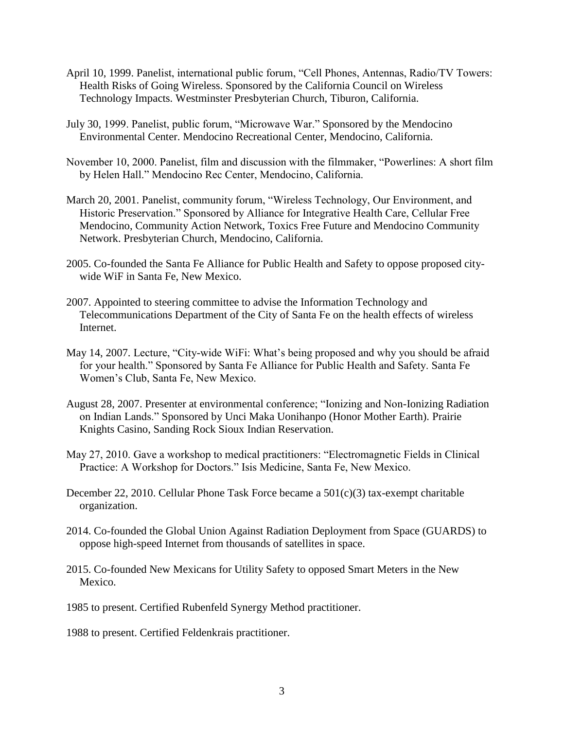- April 10, 1999. Panelist, international public forum, "Cell Phones, Antennas, Radio/TV Towers: Health Risks of Going Wireless. Sponsored by the California Council on Wireless Technology Impacts. Westminster Presbyterian Church, Tiburon, California.
- July 30, 1999. Panelist, public forum, "Microwave War." Sponsored by the Mendocino Environmental Center. Mendocino Recreational Center, Mendocino, California.
- November 10, 2000. Panelist, film and discussion with the filmmaker, "Powerlines: A short film by Helen Hall." Mendocino Rec Center, Mendocino, California.
- March 20, 2001. Panelist, community forum, "Wireless Technology, Our Environment, and Historic Preservation." Sponsored by Alliance for Integrative Health Care, Cellular Free Mendocino, Community Action Network, Toxics Free Future and Mendocino Community Network. Presbyterian Church, Mendocino, California.
- 2005. Co-founded the Santa Fe Alliance for Public Health and Safety to oppose proposed citywide WiF in Santa Fe, New Mexico.
- 2007. Appointed to steering committee to advise the Information Technology and Telecommunications Department of the City of Santa Fe on the health effects of wireless Internet.
- May 14, 2007. Lecture, "City-wide WiFi: What's being proposed and why you should be afraid for your health." Sponsored by Santa Fe Alliance for Public Health and Safety. Santa Fe Women's Club, Santa Fe, New Mexico.
- August 28, 2007. Presenter at environmental conference; "Ionizing and Non-Ionizing Radiation on Indian Lands." Sponsored by Unci Maka Uonihanpo (Honor Mother Earth). Prairie Knights Casino, Sanding Rock Sioux Indian Reservation.
- May 27, 2010. Gave a workshop to medical practitioners: "Electromagnetic Fields in Clinical Practice: A Workshop for Doctors." Isis Medicine, Santa Fe, New Mexico.
- December 22, 2010. Cellular Phone Task Force became a  $501(c)(3)$  tax-exempt charitable organization.
- 2014. Co-founded the Global Union Against Radiation Deployment from Space (GUARDS) to oppose high-speed Internet from thousands of satellites in space.
- 2015. Co-founded New Mexicans for Utility Safety to opposed Smart Meters in the New Mexico.
- 1985 to present. Certified Rubenfeld Synergy Method practitioner.
- 1988 to present. Certified Feldenkrais practitioner.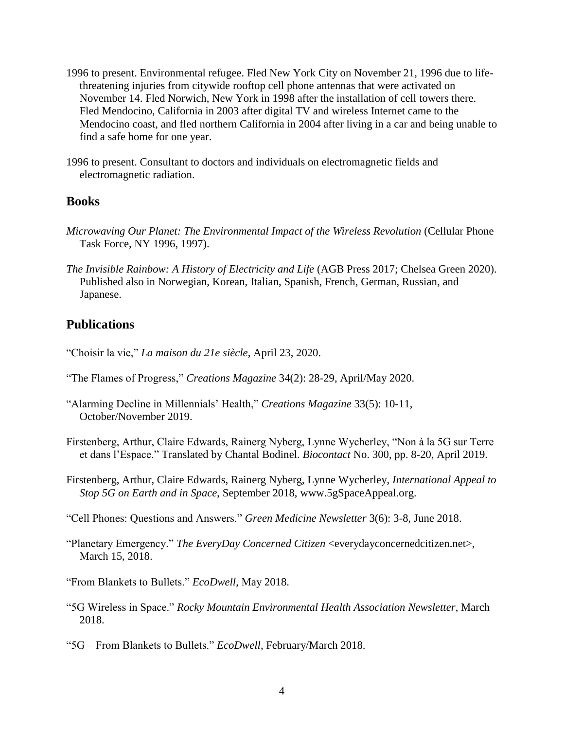- 1996 to present. Environmental refugee. Fled New York City on November 21, 1996 due to lifethreatening injuries from citywide rooftop cell phone antennas that were activated on November 14. Fled Norwich, New York in 1998 after the installation of cell towers there. Fled Mendocino, California in 2003 after digital TV and wireless Internet came to the Mendocino coast, and fled northern California in 2004 after living in a car and being unable to find a safe home for one year.
- 1996 to present. Consultant to doctors and individuals on electromagnetic fields and electromagnetic radiation.

#### **Books**

- *Microwaving Our Planet: The Environmental Impact of the Wireless Revolution* (Cellular Phone Task Force, NY 1996, 1997).
- *The Invisible Rainbow: A History of Electricity and Life* (AGB Press 2017; Chelsea Green 2020). Published also in Norwegian, Korean, Italian, Spanish, French, German, Russian, and Japanese.

### **Publications**

- "Choisir la vie," *La maison du 21e siècle*, April 23, 2020.
- "The Flames of Progress," *Creations Magazine* 34(2): 28-29, April/May 2020.
- "Alarming Decline in Millennials' Health," *Creations Magazine* 33(5): 10-11, October/November 2019.
- Firstenberg, Arthur, Claire Edwards, Rainerg Nyberg, Lynne Wycherley, "Non à la 5G sur Terre et dans l'Espace." Translated by Chantal Bodinel. *Biocontact* No. 300, pp. 8-20, April 2019.
- Firstenberg, Arthur, Claire Edwards, Rainerg Nyberg, Lynne Wycherley, *International Appeal to Stop 5G on Earth and in Space*, September 2018, www.5gSpaceAppeal.org.
- "Cell Phones: Questions and Answers." *Green Medicine Newsletter* 3(6): 3-8, June 2018.
- "Planetary Emergency." *The EveryDay Concerned Citizen* <everydayconcernedcitizen.net>, March 15, 2018.
- "From Blankets to Bullets." *EcoDwell*, May 2018.
- "5G Wireless in Space." *Rocky Mountain Environmental Health Association Newsletter*, March 2018.

"5G – From Blankets to Bullets." *EcoDwell*, February/March 2018.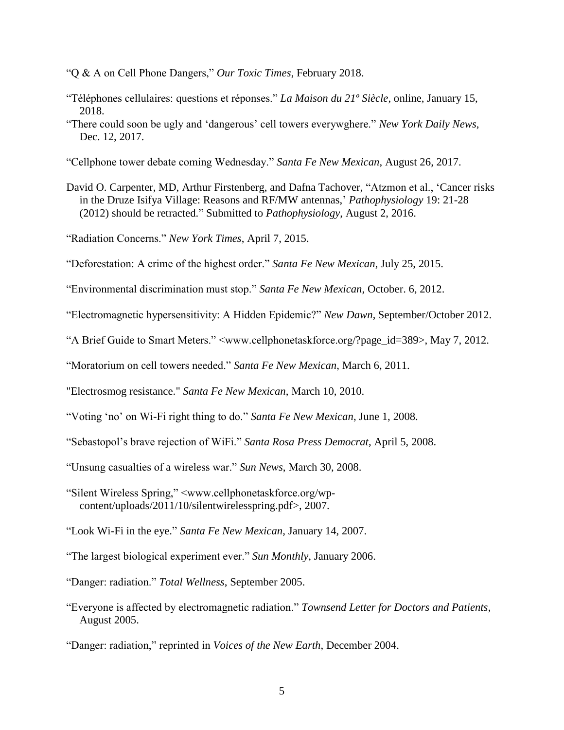"Q & A on Cell Phone Dangers," *Our Toxic Times*, February 2018.

- "Téléphones cellulaires: questions et réponses." *La Maison du 21º Siècle*, online, January 15, 2018.
- "There could soon be ugly and 'dangerous' cell towers everywghere." *New York Daily News*, Dec. 12, 2017.
- "Cellphone tower debate coming Wednesday." *Santa Fe New Mexican*, August 26, 2017.
- David O. Carpenter, MD, Arthur Firstenberg, and Dafna Tachover, "Atzmon et al., 'Cancer risks in the Druze Isifya Village: Reasons and RF/MW antennas,' *Pathophysiology* 19: 21-28 (2012) should be retracted." Submitted to *Pathophysiology*, August 2, 2016.
- "Radiation Concerns." *New York Times*, April 7, 2015.
- "Deforestation: A crime of the highest order." *Santa Fe New Mexican*, July 25, 2015.
- "Environmental discrimination must stop." *Santa Fe New Mexican*, October. 6, 2012.
- "Electromagnetic hypersensitivity: A Hidden Epidemic?" *New Dawn*, September/October 2012.
- "A Brief Guide to Smart Meters." <www.cellphonetaskforce.org/?page\_id=389>, May 7, 2012.
- "Moratorium on cell towers needed." *Santa Fe New Mexican*, March 6, 2011.
- "Electrosmog resistance." *Santa Fe New Mexican*, March 10, 2010.
- "Voting 'no' on Wi-Fi right thing to do." *Santa Fe New Mexican*, June 1, 2008.
- "Sebastopol's brave rejection of WiFi." *Santa Rosa Press Democrat*, April 5, 2008.
- "Unsung casualties of a wireless war." *Sun News*, March 30, 2008.
- "Silent Wireless Spring," <www.cellphonetaskforce.org/wpcontent/uploads/2011/10/silentwirelesspring.pdf>, 2007.
- "Look Wi-Fi in the eye." *Santa Fe New Mexican*, January 14, 2007.
- "The largest biological experiment ever." *Sun Monthly*, January 2006.
- "Danger: radiation." *Total Wellness*, September 2005.
- "Everyone is affected by electromagnetic radiation." *Townsend Letter for Doctors and Patients*, August 2005.
- "Danger: radiation," reprinted in *Voices of the New Earth*, December 2004.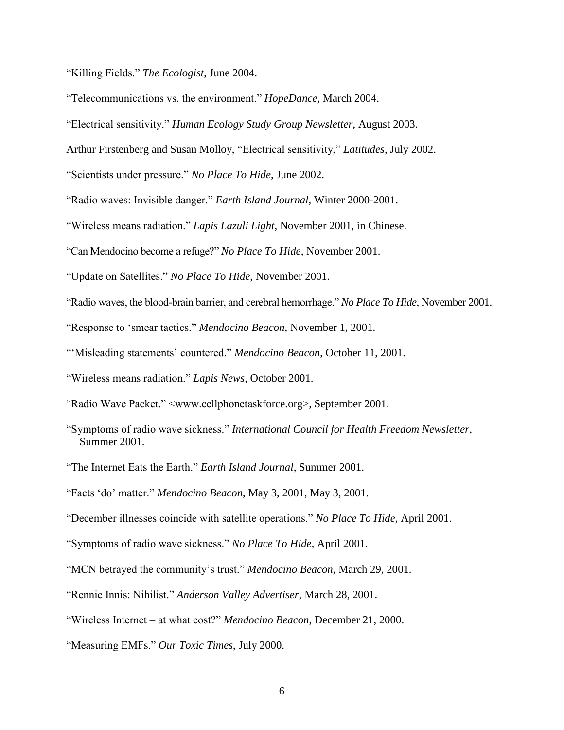"Killing Fields." *The Ecologist*, June 2004.

"Telecommunications vs. the environment." *HopeDance*, March 2004.

"Electrical sensitivity." *Human Ecology Study Group Newsletter*, August 2003.

Arthur Firstenberg and Susan Molloy, "Electrical sensitivity," *Latitudes*, July 2002.

"Scientists under pressure." *No Place To Hide*, June 2002.

"Radio waves: Invisible danger." *Earth Island Journal*, Winter 2000-2001.

"Wireless means radiation." *Lapis Lazuli Light*, November 2001, in Chinese.

"Can Mendocino become a refuge?" *No Place To Hide*, November 2001.

"Update on Satellites." *No Place To Hide*, November 2001.

"Radio waves, the blood-brain barrier, and cerebral hemorrhage." *No Place To Hide*, November 2001.

"Response to 'smear tactics." *Mendocino Beacon*, November 1, 2001.

"'Misleading statements' countered." *Mendocino Beacon*, October 11, 2001.

"Wireless means radiation." *Lapis News*, October 2001.

"Radio Wave Packet." <www.cellphonetaskforce.org>, September 2001.

"Symptoms of radio wave sickness." *International Council for Health Freedom Newsletter*, Summer 2001.

"The Internet Eats the Earth." *Earth Island Journal*, Summer 2001.

"Facts 'do' matter." *Mendocino Beacon*, May 3, 2001, May 3, 2001.

"December illnesses coincide with satellite operations." *No Place To Hide*, April 2001.

"Symptoms of radio wave sickness." *No Place To Hide*, April 2001.

"MCN betrayed the community's trust." *Mendocino Beacon*, March 29, 2001.

"Rennie Innis: Nihilist." *Anderson Valley Advertiser*, March 28, 2001.

"Wireless Internet – at what cost?" *Mendocino Beacon*, December 21, 2000.

"Measuring EMFs." *Our Toxic Times*, July 2000.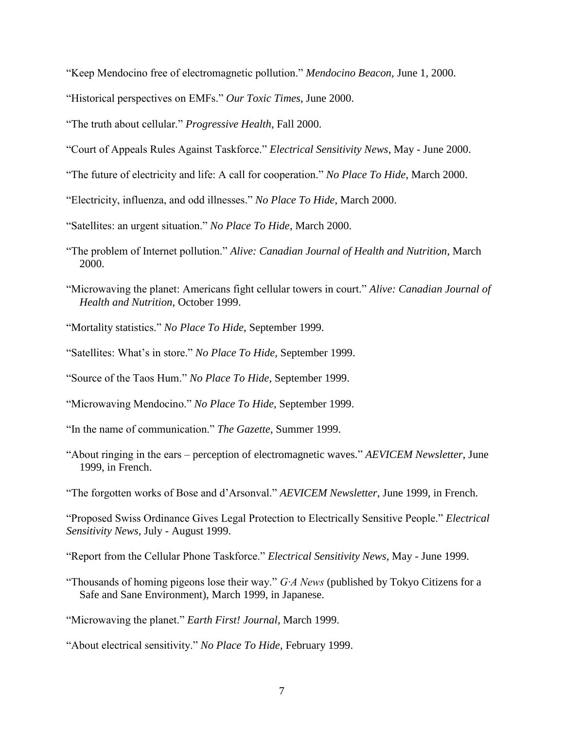"Keep Mendocino free of electromagnetic pollution." *Mendocino Beacon*, June 1, 2000.

"Historical perspectives on EMFs." *Our Toxic Times*, June 2000.

"The truth about cellular." *Progressive Health*, Fall 2000.

- "Court of Appeals Rules Against Taskforce." *Electrical Sensitivity News*, May June 2000.
- "The future of electricity and life: A call for cooperation." *No Place To Hide*, March 2000.
- "Electricity, influenza, and odd illnesses." *No Place To Hide*, March 2000.
- "Satellites: an urgent situation." *No Place To Hide*, March 2000.
- "The problem of Internet pollution." *Alive: Canadian Journal of Health and Nutrition*, March 2000.
- "Microwaving the planet: Americans fight cellular towers in court." *Alive: Canadian Journal of Health and Nutrition*, October 1999.
- "Mortality statistics." *No Place To Hide*, September 1999.
- "Satellites: What's in store." *No Place To Hide*, September 1999.
- "Source of the Taos Hum." *No Place To Hide*, September 1999.
- "Microwaving Mendocino." *No Place To Hide*, September 1999.
- "In the name of communication." *The Gazette*, Summer 1999.
- "About ringing in the ears perception of electromagnetic waves." *AEVICEM Newsletter*, June 1999, in French.
- "The forgotten works of Bose and d'Arsonval." *AEVICEM Newsletter*, June 1999, in French.

"Proposed Swiss Ordinance Gives Legal Protection to Electrically Sensitive People." *Electrical Sensitivity News*, July - August 1999.

"Report from the Cellular Phone Taskforce." *Electrical Sensitivity News*, May - June 1999.

"Thousands of homing pigeons lose their way." *G∙A News* (published by Tokyo Citizens for a Safe and Sane Environment), March 1999, in Japanese.

"Microwaving the planet." *Earth First! Journal*, March 1999.

"About electrical sensitivity." *No Place To Hide*, February 1999.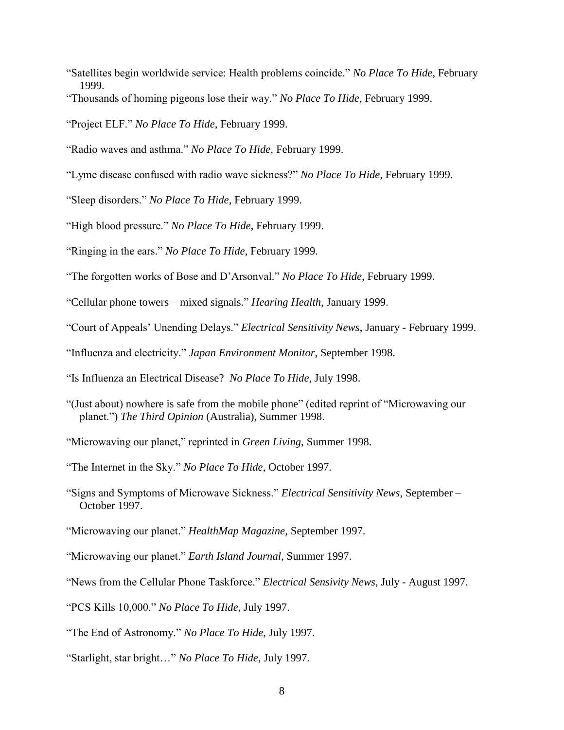- "Satellites begin worldwide service: Health problems coincide." *No Place To Hide*, February 1999.
- "Thousands of homing pigeons lose their way." *No Place To Hide*, February 1999.
- "Project ELF." *No Place To Hide*, February 1999.
- "Radio waves and asthma." *No Place To Hide*, February 1999.
- "Lyme disease confused with radio wave sickness?" *No Place To Hide*, February 1999.
- "Sleep disorders." *No Place To Hide*, February 1999.
- "High blood pressure." *No Place To Hide*, February 1999.
- "Ringing in the ears." *No Place To Hide*, February 1999.
- "The forgotten works of Bose and D'Arsonval." *No Place To Hide*, February 1999.
- "Cellular phone towers mixed signals." *Hearing Health*, January 1999.
- "Court of Appeals' Unending Delays." *Electrical Sensitivity News*, January February 1999.
- "Influenza and electricity." *Japan Environment Monitor*, September 1998.
- "Is Influenza an Electrical Disease? *No Place To Hide*, July 1998.
- "(Just about) nowhere is safe from the mobile phone" (edited reprint of "Microwaving our planet.") *The Third Opinion* (Australia), Summer 1998.
- "Microwaving our planet," reprinted in *Green Living*, Summer 1998.
- "The Internet in the Sky." *No Place To Hide*, October 1997.
- "Signs and Symptoms of Microwave Sickness." *Electrical Sensitivity News*, September October 1997.
- "Microwaving our planet." *HealthMap Magazine*, September 1997.
- "Microwaving our planet." *Earth Island Journal*, Summer 1997.
- "News from the Cellular Phone Taskforce." *Electrical Sensivity News*, July August 1997.
- "PCS Kills 10,000." *No Place To Hide*, July 1997.
- "The End of Astronomy." *No Place To Hide*, July 1997.
- "Starlight, star bright…" *No Place To Hide*, July 1997.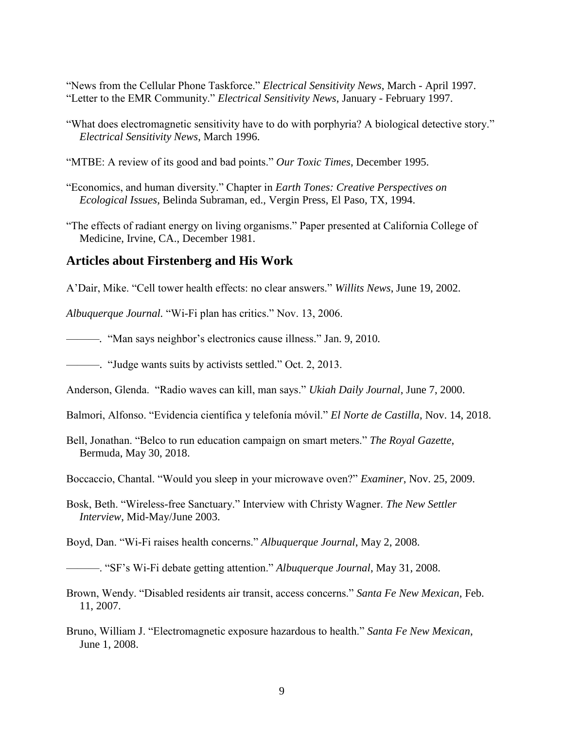"News from the Cellular Phone Taskforce." *Electrical Sensitivity News*, March - April 1997. "Letter to the EMR Community." *Electrical Sensitivity News*, January - February 1997.

- "What does electromagnetic sensitivity have to do with porphyria? A biological detective story." *Electrical Sensitivity News*, March 1996.
- "MTBE: A review of its good and bad points." *Our Toxic Times*, December 1995.

"Economics, and human diversity." Chapter in *Earth Tones: Creative Perspectives on Ecological Issues*, Belinda Subraman, ed., Vergin Press, El Paso, TX, 1994.

"The effects of radiant energy on living organisms." Paper presented at California College of Medicine, Irvine, CA., December 1981.

#### **Articles about Firstenberg and His Work**

A'Dair, Mike. "Cell tower health effects: no clear answers." *Willits News*, June 19, 2002.

*Albuquerque Journal.* "Wi-Fi plan has critics." Nov. 13, 2006.

———*.* "Man says neighbor's electronics cause illness." Jan. 9, 2010*.*

———. "Judge wants suits by activists settled." Oct. 2, 2013.

Anderson, Glenda. "Radio waves can kill, man says." *Ukiah Daily Journal*, June 7, 2000.

Balmori, Alfonso. "Evidencia científica y telefonía móvil." *El Norte de Castilla*, Nov. 14, 2018.

Bell, Jonathan. "Belco to run education campaign on smart meters." *The Royal Gazette*, Bermuda, May 30, 2018.

Boccaccio, Chantal. "Would you sleep in your microwave oven?" *Examiner*, Nov. 25, 2009.

Bosk, Beth. "Wireless-free Sanctuary." Interview with Christy Wagner. *The New Settler Interview*, Mid-May/June 2003.

Boyd, Dan. "Wi-Fi raises health concerns." *Albuquerque Journal*, May 2, 2008.

———. "SF's Wi-Fi debate getting attention." *Albuquerque Journal*, May 31, 2008.

Brown, Wendy. "Disabled residents air transit, access concerns." *Santa Fe New Mexican*, Feb. 11, 2007.

Bruno, William J. "Electromagnetic exposure hazardous to health." *Santa Fe New Mexican*, June 1, 2008.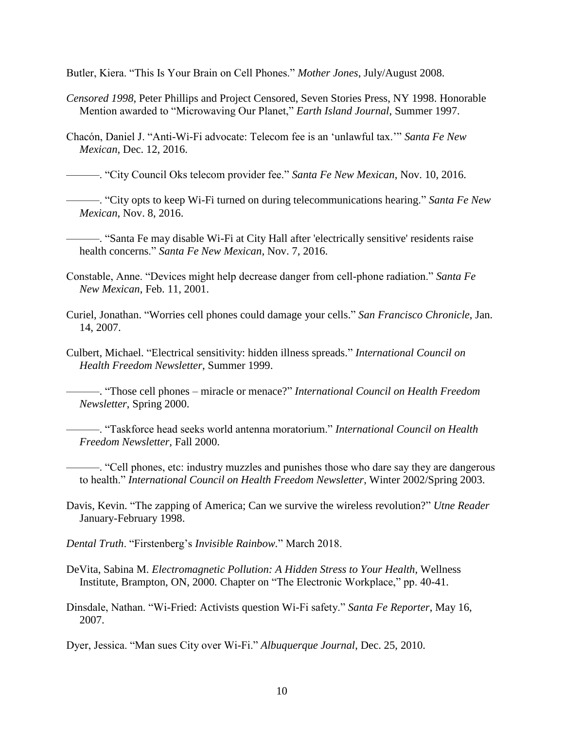Butler, Kiera. "This Is Your Brain on Cell Phones." *Mother Jones*, July/August 2008.

- *Censored 1998*, Peter Phillips and Project Censored, Seven Stories Press, NY 1998. Honorable Mention awarded to "Microwaving Our Planet," *Earth Island Journal*, Summer 1997.
- Chacón, Daniel J. "Anti-Wi-Fi advocate: Telecom fee is an 'unlawful tax.'" *Santa Fe New Mexican*, Dec. 12, 2016.

———. "City Council Oks telecom provider fee." *Santa Fe New Mexican*, Nov. 10, 2016.

———. "City opts to keep Wi-Fi turned on during telecommunications hearing." *Santa Fe New Mexican*, Nov. 8, 2016.

———. "Santa Fe may disable Wi-Fi at City Hall after 'electrically sensitive' residents raise health concerns." *Santa Fe New Mexican*, Nov. 7, 2016.

- Constable, Anne. "Devices might help decrease danger from cell-phone radiation." *Santa Fe New Mexican*, Feb. 11, 2001.
- Curiel, Jonathan. "Worries cell phones could damage your cells." *San Francisco Chronicle*, Jan. 14, 2007.
- Culbert, Michael. "Electrical sensitivity: hidden illness spreads." *International Council on Health Freedom Newsletter*, Summer 1999.

———. "Those cell phones – miracle or menace?" *International Council on Health Freedom Newsletter*, Spring 2000.

———. "Taskforce head seeks world antenna moratorium." *International Council on Health Freedom Newsletter,* Fall 2000.

———. "Cell phones, etc: industry muzzles and punishes those who dare say they are dangerous to health." *International Council on Health Freedom Newsletter*, Winter 2002/Spring 2003.

Davis, Kevin. "The zapping of America; Can we survive the wireless revolution?" *Utne Reader* January-February 1998.

*Dental Truth*. "Firstenberg's *Invisible Rainbow.*" March 2018.

- DeVita, Sabina M. *Electromagnetic Pollution: A Hidden Stress to Your Health*, Wellness Institute, Brampton, ON, 2000*.* Chapter on "The Electronic Workplace," pp. 40-41.
- Dinsdale, Nathan. "Wi-Fried: Activists question Wi-Fi safety." *Santa Fe Reporter*, May 16, 2007.

Dyer, Jessica. "Man sues City over Wi-Fi." *Albuquerque Journal*, Dec. 25, 2010.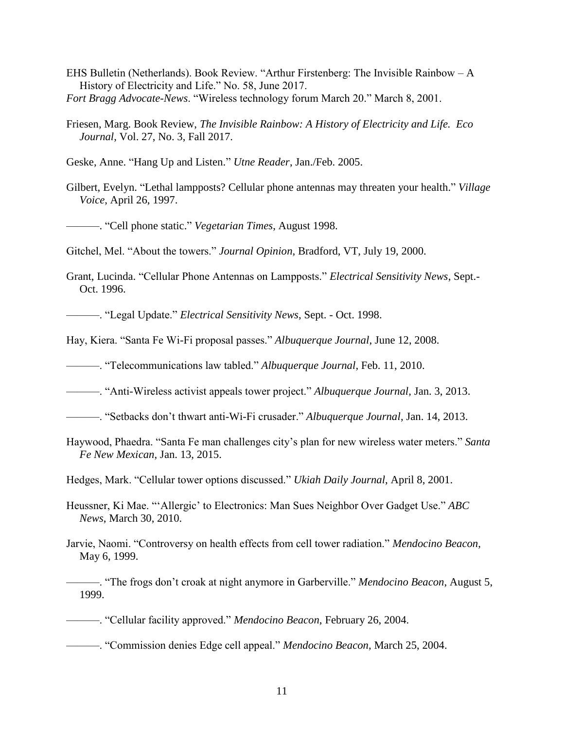- EHS Bulletin (Netherlands). Book Review. "Arthur Firstenberg: The Invisible Rainbow A History of Electricity and Life." No. 58, June 2017. *Fort Bragg Advocate-News*. "Wireless technology forum March 20." March 8, 2001.
- Friesen, Marg. Book Review, *The Invisible Rainbow: A History of Electricity and Life. Eco Journal*, Vol. 27, No. 3, Fall 2017.

Geske, Anne. "Hang Up and Listen." *Utne Reader*, Jan./Feb. 2005.

Gilbert, Evelyn. "Lethal lampposts? Cellular phone antennas may threaten your health." *Village Voice*, April 26, 1997.

———. "Cell phone static." *Vegetarian Times*, August 1998.

Gitchel, Mel. "About the towers." *Journal Opinion*, Bradford, VT, July 19, 2000.

Grant, Lucinda. "Cellular Phone Antennas on Lampposts." *Electrical Sensitivity News*, Sept.- Oct. 1996.

———. "Legal Update." *Electrical Sensitivity News*, Sept. - Oct. 1998.

Hay, Kiera. "Santa Fe Wi-Fi proposal passes." *Albuquerque Journal*, June 12, 2008.

———. "Telecommunications law tabled." *Albuquerque Journal*, Feb. 11, 2010.

———. "Anti-Wireless activist appeals tower project." *Albuquerque Journal*, Jan. 3, 2013.

- ———. "Setbacks don't thwart anti-Wi-Fi crusader." *Albuquerque Journal*, Jan. 14, 2013.
- Haywood, Phaedra. "Santa Fe man challenges city's plan for new wireless water meters." *Santa Fe New Mexican*, Jan. 13, 2015.

Hedges, Mark. "Cellular tower options discussed." *Ukiah Daily Journal*, April 8, 2001.

- Heussner, Ki Mae. "'Allergic' to Electronics: Man Sues Neighbor Over Gadget Use." *ABC News*, March 30, 2010.
- Jarvie, Naomi. "Controversy on health effects from cell tower radiation." *Mendocino Beacon*, May 6, 1999.

———. "Cellular facility approved." *Mendocino Beacon*, February 26, 2004.

———. "Commission denies Edge cell appeal." *Mendocino Beacon*, March 25, 2004.

<sup>———. &</sup>quot;The frogs don't croak at night anymore in Garberville." *Mendocino Beacon*, August 5, 1999.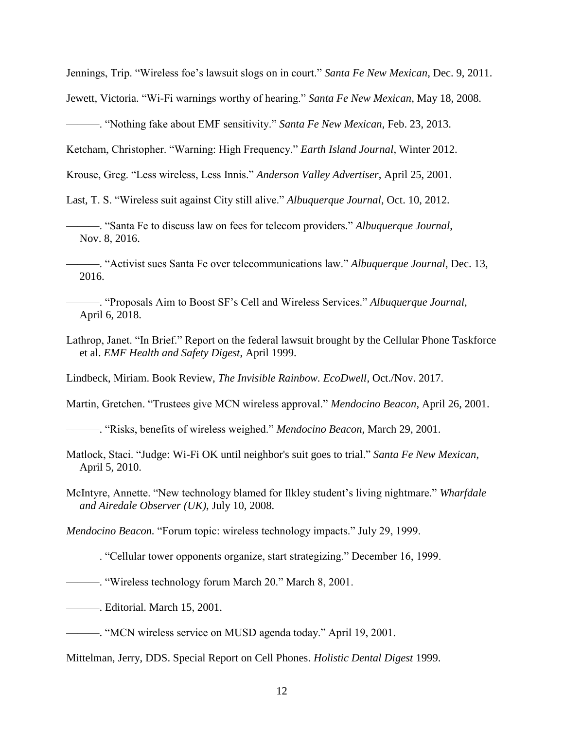Jennings, Trip. "Wireless foe's lawsuit slogs on in court." *Santa Fe New Mexican*, Dec. 9, 2011.

Jewett, Victoria. "Wi-Fi warnings worthy of hearing." *Santa Fe New Mexican*, May 18, 2008.

———. "Nothing fake about EMF sensitivity." *Santa Fe New Mexican*, Feb. 23, 2013.

Ketcham, Christopher. "Warning: High Frequency." *Earth Island Journal*, Winter 2012.

Krouse, Greg. "Less wireless, Less Innis." *Anderson Valley Advertiser*, April 25, 2001.

Last, T. S. "Wireless suit against City still alive." *Albuquerque Journal*, Oct. 10, 2012.

- ———. "Santa Fe to discuss law on fees for telecom providers." *Albuquerque Journal*, Nov. 8, 2016.
- ———. "Activist sues Santa Fe over telecommunications law." *Albuquerque Journal*, Dec. 13, 2016.
- ———. "Proposals Aim to Boost SF's Cell and Wireless Services." *Albuquerque Journal*, April 6, 2018.
- Lathrop, Janet. "In Brief." Report on the federal lawsuit brought by the Cellular Phone Taskforce et al. *EMF Health and Safety Digest*, April 1999.

Lindbeck, Miriam. Book Review, *The Invisible Rainbow. EcoDwell*, Oct./Nov. 2017.

Martin, Gretchen. "Trustees give MCN wireless approval." *Mendocino Beacon*, April 26, 2001.

———. "Risks, benefits of wireless weighed." *Mendocino Beacon*, March 29, 2001.

- Matlock, Staci. "Judge: Wi-Fi OK until neighbor's suit goes to trial." *Santa Fe New Mexican*, April 5, 2010.
- McIntyre, Annette. "New technology blamed for Ilkley student's living nightmare." *Wharfdale and Airedale Observer (UK)*, July 10, 2008.

*Mendocino Beacon.* "Forum topic: wireless technology impacts." July 29, 1999.

———. "Cellular tower opponents organize, start strategizing." December 16, 1999.

———. "Wireless technology forum March 20." March 8, 2001.

———. Editorial. March 15, 2001.

———. "MCN wireless service on MUSD agenda today." April 19, 2001.

Mittelman, Jerry, DDS. Special Report on Cell Phones. *Holistic Dental Digest* 1999.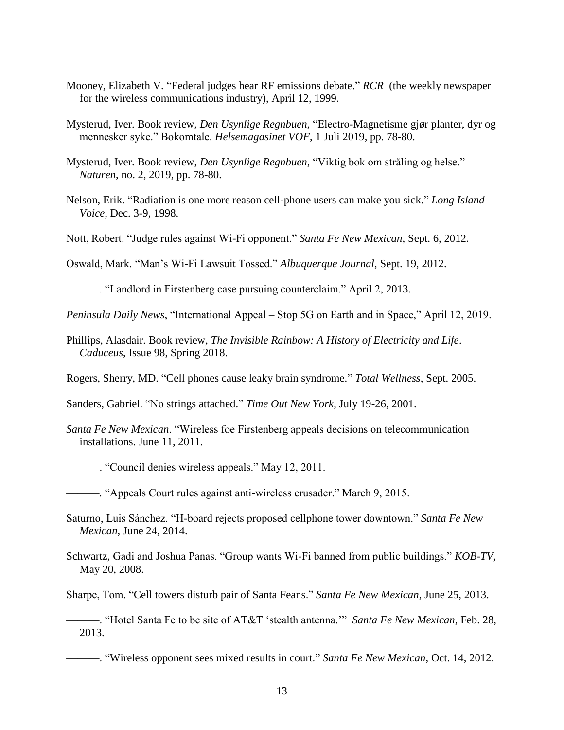- Mooney, Elizabeth V. "Federal judges hear RF emissions debate." *RCR* (the weekly newspaper for the wireless communications industry), April 12, 1999.
- Mysterud, Iver. Book review, *Den Usynlige Regnbuen*, "Electro-Magnetisme gjør planter, dyr og mennesker syke." Bokomtale. *Helsemagasinet VOF*, 1 Juli 2019, pp. 78-80.
- Mysterud, Iver. Book review, *Den Usynlige Regnbuen*, "Viktig bok om stråling og helse." *Naturen*, no. 2, 2019, pp. 78-80.
- Nelson, Erik. "Radiation is one more reason cell-phone users can make you sick." *Long Island Voice*, Dec. 3-9, 1998.
- Nott, Robert. "Judge rules against Wi-Fi opponent." *Santa Fe New Mexican*, Sept. 6, 2012.

Oswald, Mark. "Man's Wi-Fi Lawsuit Tossed." *Albuquerque Journal*, Sept. 19, 2012.

———. "Landlord in Firstenberg case pursuing counterclaim." April 2, 2013.

*Peninsula Daily News*, "International Appeal – Stop 5G on Earth and in Space," April 12, 2019.

Phillips, Alasdair. Book review, *The Invisible Rainbow: A History of Electricity and Life*. *Caduceus*, Issue 98, Spring 2018.

Rogers, Sherry, MD. "Cell phones cause leaky brain syndrome." *Total Wellness*, Sept. 2005.

Sanders, Gabriel. "No strings attached." *Time Out New York*, July 19-26, 2001.

*Santa Fe New Mexican*. "Wireless foe Firstenberg appeals decisions on telecommunication installations. June 11, 2011.

———. "Council denies wireless appeals." May 12, 2011.

———*.* "Appeals Court rules against anti-wireless crusader." March 9, 2015.

- Saturno, Luis Sánchez. "H-board rejects proposed cellphone tower downtown." *Santa Fe New Mexican*, June 24, 2014.
- Schwartz, Gadi and Joshua Panas. "Group wants Wi-Fi banned from public buildings." *KOB-TV*, May 20, 2008.

Sharpe, Tom. "Cell towers disturb pair of Santa Feans." *Santa Fe New Mexican*, June 25, 2013.

———. "Hotel Santa Fe to be site of AT&T 'stealth antenna.'" *Santa Fe New Mexican*, Feb. 28, 2013.

———. "Wireless opponent sees mixed results in court." *Santa Fe New Mexican*, Oct. 14, 2012.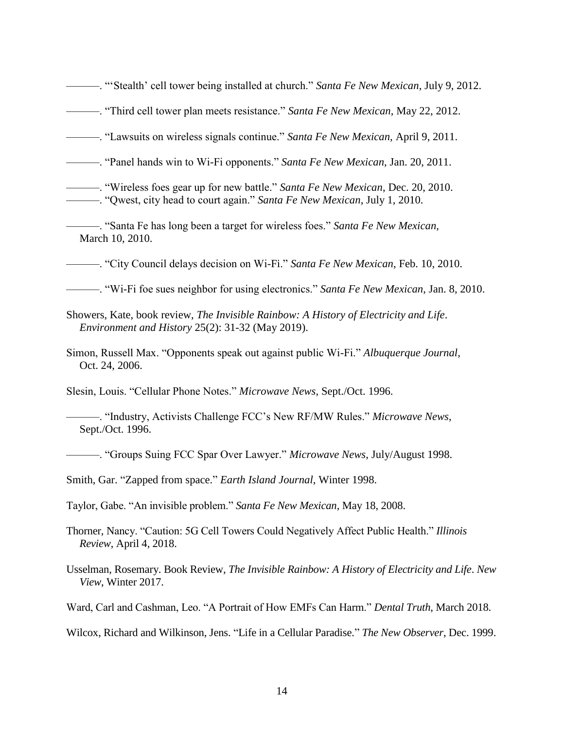———. "'Stealth' cell tower being installed at church." *Santa Fe New Mexican*, July 9, 2012. ———. "Third cell tower plan meets resistance." *Santa Fe New Mexican*, May 22, 2012. ———. "Lawsuits on wireless signals continue." *Santa Fe New Mexican*, April 9, 2011. ———. "Panel hands win to Wi-Fi opponents." *Santa Fe New Mexican*, Jan. 20, 2011. ———. "Wireless foes gear up for new battle." *Santa Fe New Mexican*, Dec. 20, 2010. ———. "Qwest, city head to court again." *Santa Fe New Mexican*, July 1, 2010. ———. "Santa Fe has long been a target for wireless foes." *Santa Fe New Mexican*, March 10, 2010. ———. "City Council delays decision on Wi-Fi." *Santa Fe New Mexican*, Feb. 10, 2010. ———. "Wi-Fi foe sues neighbor for using electronics." *Santa Fe New Mexican*, Jan. 8, 2010. Showers, Kate, book review, *The Invisible Rainbow: A History of Electricity and Life*. *Environment and History* 25(2): 31-32 (May 2019). Simon, Russell Max. "Opponents speak out against public Wi-Fi." *Albuquerque Journal*, Oct. 24, 2006. Slesin, Louis. "Cellular Phone Notes." *Microwave News*, Sept./Oct. 1996. ———. "Industry, Activists Challenge FCC's New RF/MW Rules." *Microwave News*, Sept./Oct. 1996. ———. "Groups Suing FCC Spar Over Lawyer." *Microwave News*, July/August 1998. Smith, Gar. "Zapped from space." *Earth Island Journal*, Winter 1998. Taylor, Gabe. "An invisible problem." *Santa Fe New Mexican*, May 18, 2008. Thorner, Nancy. "Caution: 5G Cell Towers Could Negatively Affect Public Health." *Illinois Review*, April 4, 2018. Usselman, Rosemary. Book Review, *The Invisible Rainbow: A History of Electricity and Life*. *New View*, Winter 2017. Ward, Carl and Cashman, Leo. "A Portrait of How EMFs Can Harm." *Dental Truth*, March 2018. Wilcox, Richard and Wilkinson, Jens. "Life in a Cellular Paradise." *The New Observer*, Dec. 1999.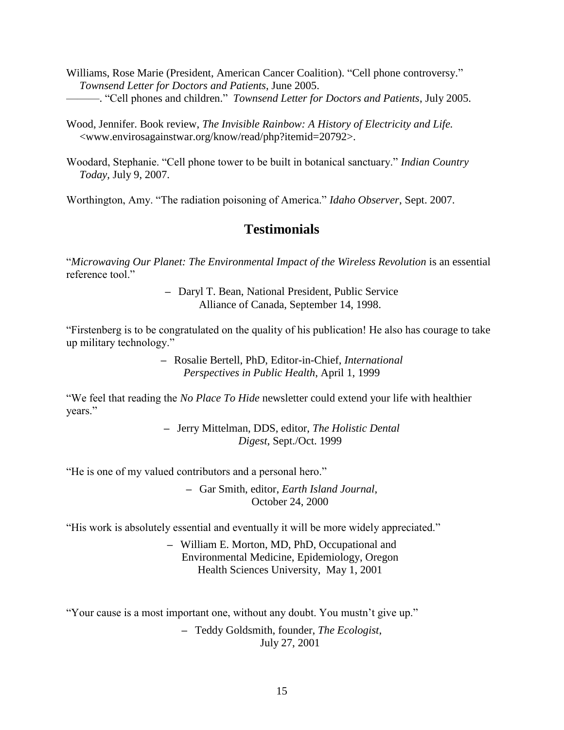Williams, Rose Marie (President, American Cancer Coalition). "Cell phone controversy." *Townsend Letter for Doctors and Patients*, June 2005. ———. "Cell phones and children." *Townsend Letter for Doctors and Patients*, July 2005.

Wood, Jennifer. Book review, *The Invisible Rainbow: A History of Electricity and Life.* <www.envirosagainstwar.org/know/read/php?itemid=20792>.

Woodard, Stephanie. "Cell phone tower to be built in botanical sanctuary." *Indian Country Today*, July 9, 2007.

Worthington, Amy. "The radiation poisoning of America." *Idaho Observer*, Sept. 2007.

## **Testimonials**

"Microwaving Our Planet: The Environmental Impact of the Wireless Revolution is an essential reference tool."

> **–** Daryl T. Bean, National President, Public Service Alliance of Canada, September 14, 1998.

"Firstenberg is to be congratulated on the quality of his publication! He also has courage to take up military technology."

> **–** Rosalie Bertell, PhD, Editor-in-Chief, *International Perspectives in Public Health*, April 1, 1999

"We feel that reading the *No Place To Hide* newsletter could extend your life with healthier years."

> **–** Jerry Mittelman, DDS, editor, *The Holistic Dental Digest*, Sept./Oct. 1999

"He is one of my valued contributors and a personal hero."

**–** Gar Smith, editor, *Earth Island Journal*, October 24, 2000

"His work is absolutely essential and eventually it will be more widely appreciated."

**–** William E. Morton, MD, PhD, Occupational and Environmental Medicine, Epidemiology, Oregon Health Sciences University, May 1, 2001

"Your cause is a most important one, without any doubt. You mustn't give up."

**–** Teddy Goldsmith, founder, *The Ecologist*, July 27, 2001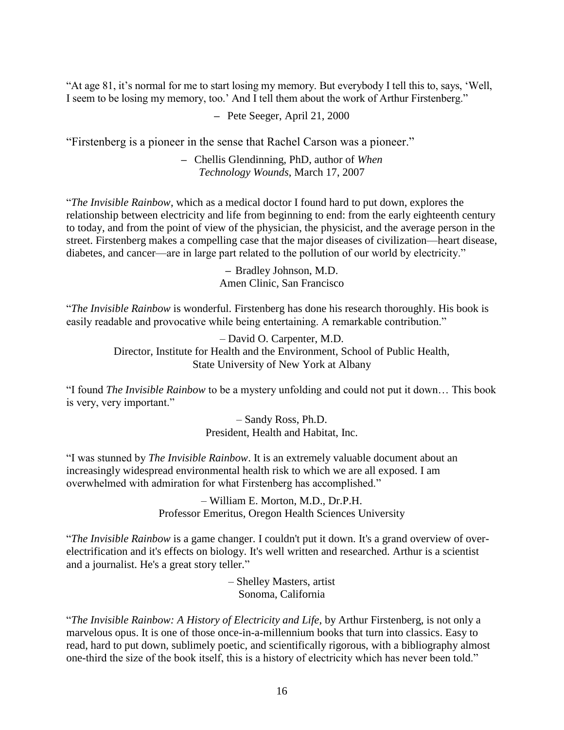"At age 81, it's normal for me to start losing my memory. But everybody I tell this to, says, 'Well, I seem to be losing my memory, too.' And I tell them about the work of Arthur Firstenberg."

**–** Pete Seeger, April 21, 2000

"Firstenberg is a pioneer in the sense that Rachel Carson was a pioneer."

**–** Chellis Glendinning, PhD, author of *When Technology Wounds*, March 17, 2007

"*The Invisible Rainbow*, which as a medical doctor I found hard to put down, explores the relationship between electricity and life from beginning to end: from the early eighteenth century to today, and from the point of view of the physician, the physicist, and the average person in the street. Firstenberg makes a compelling case that the major diseases of civilization—heart disease, diabetes, and cancer—are in large part related to the pollution of our world by electricity."

> **–** Bradley Johnson, M.D. Amen Clinic, San Francisco

"*The Invisible Rainbow* is wonderful. Firstenberg has done his research thoroughly. His book is easily readable and provocative while being entertaining. A remarkable contribution."

> – David O. Carpenter, M.D. Director, Institute for Health and the Environment, School of Public Health, State University of New York at Albany

"I found *The Invisible Rainbow* to be a mystery unfolding and could not put it down… This book is very, very important."

> – Sandy Ross, Ph.D. President, Health and Habitat, Inc.

"I was stunned by *The Invisible Rainbow*. It is an extremely valuable document about an increasingly widespread environmental health risk to which we are all exposed. I am overwhelmed with admiration for what Firstenberg has accomplished."

> – William E. Morton, M.D., Dr.P.H. Professor Emeritus, Oregon Health Sciences University

"*The Invisible Rainbow* is a game changer. I couldn't put it down. It's a grand overview of overelectrification and it's effects on biology. It's well written and researched. Arthur is a scientist and a journalist. He's a great story teller."

> – Shelley Masters, artist Sonoma, California

"*The Invisible Rainbow: A History of Electricity and Life*, by Arthur Firstenberg, is not only a marvelous opus. It is one of those once-in-a-millennium books that turn into classics. Easy to read, hard to put down, sublimely poetic, and scientifically rigorous, with a bibliography almost one-third the size of the book itself, this is a history of electricity which has never been told."